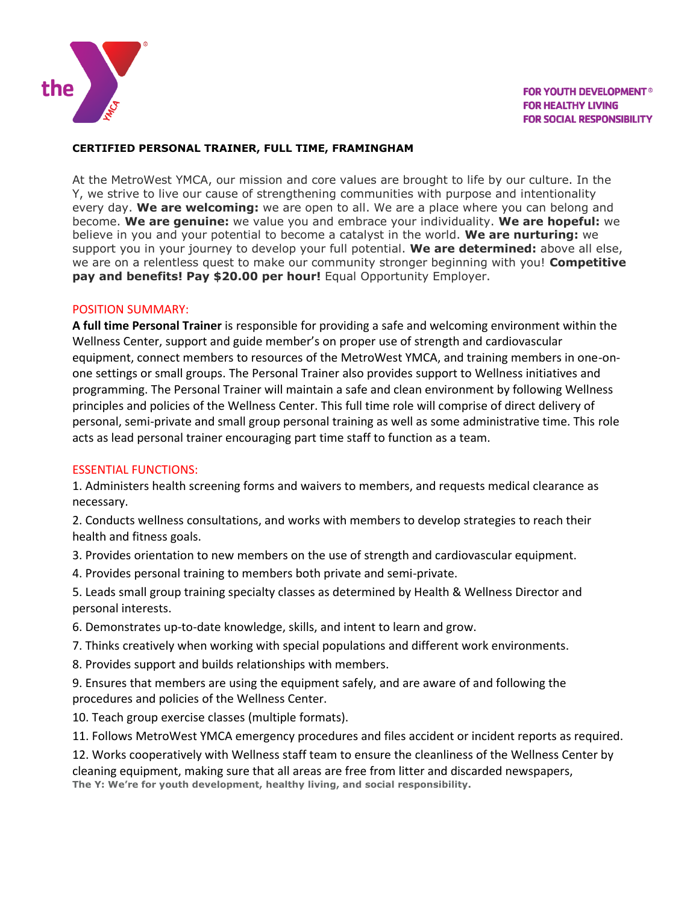

# **CERTIFIED PERSONAL TRAINER, FULL TIME, FRAMINGHAM**

At the MetroWest YMCA, our mission and core values are brought to life by our culture. In the Y, we strive to live our cause of strengthening communities with purpose and intentionality every day. **We are welcoming:** we are open to all. We are a place where you can belong and become. **We are genuine:** we value you and embrace your individuality. **We are hopeful:** we believe in you and your potential to become a catalyst in the world. **We are nurturing:** we support you in your journey to develop your full potential. **We are determined:** above all else, we are on a relentless quest to make our community stronger beginning with you! **Competitive pay and benefits! Pay \$20.00 per hour!** Equal Opportunity Employer.

# POSITION SUMMARY:

**A full time Personal Trainer** is responsible for providing a safe and welcoming environment within the Wellness Center, support and guide member's on proper use of strength and cardiovascular equipment, connect members to resources of the MetroWest YMCA, and training members in one-onone settings or small groups. The Personal Trainer also provides support to Wellness initiatives and programming. The Personal Trainer will maintain a safe and clean environment by following Wellness principles and policies of the Wellness Center. This full time role will comprise of direct delivery of personal, semi-private and small group personal training as well as some administrative time. This role acts as lead personal trainer encouraging part time staff to function as a team.

# ESSENTIAL FUNCTIONS:

1. Administers health screening forms and waivers to members, and requests medical clearance as necessary.

2. Conducts wellness consultations, and works with members to develop strategies to reach their health and fitness goals.

3. Provides orientation to new members on the use of strength and cardiovascular equipment.

4. Provides personal training to members both private and semi-private.

5. Leads small group training specialty classes as determined by Health & Wellness Director and personal interests.

- 6. Demonstrates up-to-date knowledge, skills, and intent to learn and grow.
- 7. Thinks creatively when working with special populations and different work environments.
- 8. Provides support and builds relationships with members.

9. Ensures that members are using the equipment safely, and are aware of and following the procedures and policies of the Wellness Center.

10. Teach group exercise classes (multiple formats).

11. Follows MetroWest YMCA emergency procedures and files accident or incident reports as required.

12. Works cooperatively with Wellness staff team to ensure the cleanliness of the Wellness Center by cleaning equipment, making sure that all areas are free from litter and discarded newspapers, **The Y: We're for youth development, healthy living, and social responsibility.**